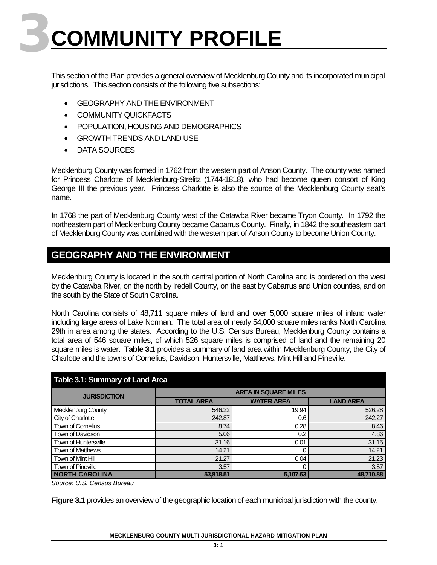# **3COMMUNITY PROFILE**

This section of the Plan provides a general overview of Mecklenburg County and its incorporated municipal jurisdictions. This section consists of the following five subsections:

- GEOGRAPHY AND THE ENVIRONMENT
- COMMUNITY QUICKFACTS
- POPULATION, HOUSING AND DEMOGRAPHICS
- GROWTH TRENDS AND LAND USE
- DATA SOURCES

Mecklenburg County was formed in 1762 from the western part of Anson County. The county was named for Princess Charlotte of Mecklenburg-Strelitz (1744-1818), who had become queen consort of King George III the previous year. Princess Charlotte is also the source of the Mecklenburg County seat's name.

In 1768 the part of Mecklenburg County west of the Catawba River became Tryon County. In 1792 the northeastern part of Mecklenburg County became Cabarrus County. Finally, in 1842 the southeastern part of Mecklenburg County was combined with the western part of Anson County to become Union County.

# **GEOGRAPHY AND THE ENVIRONMENT**

Mecklenburg County is located in the south central portion of North Carolina and is bordered on the west by the Catawba River, on the north by Iredell County, on the east by Cabarrus and Union counties, and on the south by the State of South Carolina.

North Carolina consists of 48,711 square miles of land and over 5,000 square miles of inland water including large areas of Lake Norman. The total area of nearly 54,000 square miles ranks North Carolina 29th in area among the states. According to the U.S. Census Bureau, Mecklenburg County contains a total area of 546 square miles, of which 526 square miles is comprised of land and the remaining 20 square miles is water. **Table 3.1** provides a summary of land area within Mecklenburg County, the City of Charlotte and the towns of Cornelius, Davidson, Huntersville, Matthews, Mint Hill and Pineville.

| <b>Table 3.1: Summary of Land Area</b> |                             |                   |                  |  |  |  |
|----------------------------------------|-----------------------------|-------------------|------------------|--|--|--|
| <b>JURISDICTION</b>                    | <b>AREA IN SQUARE MILES</b> |                   |                  |  |  |  |
|                                        | <b>TOTAL AREA</b>           | <b>WATER AREA</b> | <b>LAND AREA</b> |  |  |  |
| <b>Mecklenburg County</b>              | 546.22                      | 19.94             | 526.28           |  |  |  |
| City of Charlotte                      | 242.87                      | 0.6               | 242.27           |  |  |  |
| Town of Cornelius                      | 8.74                        | 0.28              | 8.46             |  |  |  |
| Town of Davidson                       | 5.06                        | 0.2               | 4.86             |  |  |  |
| Town of Huntersville                   | 31.16                       | 0.01              | 31.15            |  |  |  |
| <b>Town of Matthews</b>                | 14.21                       |                   | 14.21            |  |  |  |
| Town of Mint Hill                      | 21.27                       | 0.04              | 21.23            |  |  |  |
| Town of Pineville                      | 3.57                        | 0                 | 3.57             |  |  |  |
| <b>NORTH CAROLINA</b>                  | 53,818.51                   | 5,107.63          | 48.710.88        |  |  |  |

*Source: U.S. Census Bureau*

**Figure 3.1** provides an overview of the geographic location of each municipal jurisdiction with the county.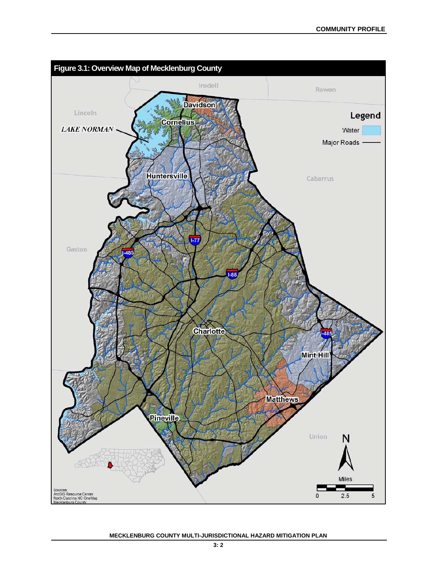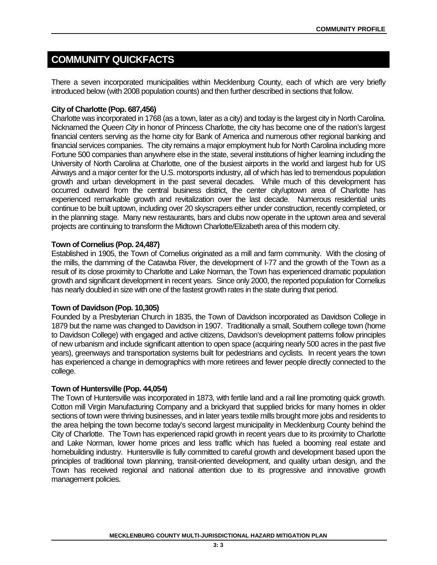# **COMMUNITY QUICKFACTS**

There a seven incorporated municipalities within Mecklenburg County, each of which are very briefly introduced below (with 2008 population counts) and then further described in sections that follow.

#### **City of Charlotte (Pop. 687,456)**

Charlotte was incorporated in 1768 (as a town, later as a city) and today is the largest city in North Carolina. Nicknamed the *Queen City* in honor of Princess Charlotte, the city has become one of the nation's largest financial centers serving as the home city for Bank of America and numerous other regional banking and financial services companies. The city remains a major employment hub for North Carolina including more Fortune 500 companies than anywhere else in the state, several institutions of higher learning including the University of North Carolina at Charlotte, one of the busiest airports in the world and largest hub for US Airways and a major center for the U.S. motorsports industry, all of which has led to tremendous population growth and urban development in the past several decades. While much of this development has occurred outward from the central business district, the center city/uptown area of Charlotte has experienced remarkable growth and revitalization over the last decade. Numerous residential units continue to be built uptown, including over 20 skyscrapers either under construction, recently completed, or in the planning stage. Many new restaurants, bars and clubs now operate in the uptown area and several projects are continuing to transform the Midtown Charlotte/Elizabeth area of this modern city.

#### **Town of Cornelius (Pop. 24,487)**

Established in 1905, the Town of Cornelius originated as a mill and farm community. With the closing of the mills, the damming of the Catawba River, the development of I-77 and the growth of the Town as a result of its close proximity to Charlotte and Lake Norman, the Town has experienced dramatic population growth and significant development in recent years. Since only 2000, the reported population for Cornelius has nearly doubled in size with one of the fastest growth rates in the state during that period.

#### **Town of Davidson (Pop. 10,305)**

Founded by a Presbyterian Church in 1835, the Town of Davidson incorporated as Davidson College in 1879 but the name was changed to Davidson in 1907. Traditionally a small, Southern college town (home to Davidson College) with engaged and active citizens, Davidson's development patterns follow principles of new urbanism and include significant attention to open space (acquiring nearly 500 acres in the past five years), greenways and transportation systems built for pedestrians and cyclists. In recent years the town has experienced a change in demographics with more retirees and fewer people directly connected to the college.

#### **Town of Huntersville (Pop. 44,054)**

The Town of Huntersville was incorporated in 1873, with fertile land and a rail line promoting quick growth. Cotton mill Virgin Manufacturing Company and a brickyard that supplied bricks for many homes in older sections of town were thriving businesses, and in later years textile mills brought more jobs and residents to the area helping the town become today's second largest municipality in Mecklenburg County behind the City of Charlotte. The Town has experienced rapid growth in recent years due to its proximity to Charlotte and Lake Norman, lower home prices and less traffic which has fueled a booming real estate and homebuilding industry. Huntersville is fully committed to careful growth and development based upon the principles of traditional town planning, transit-oriented development, and quality urban design, and the Town has received regional and national attention due to its progressive and innovative growth management policies.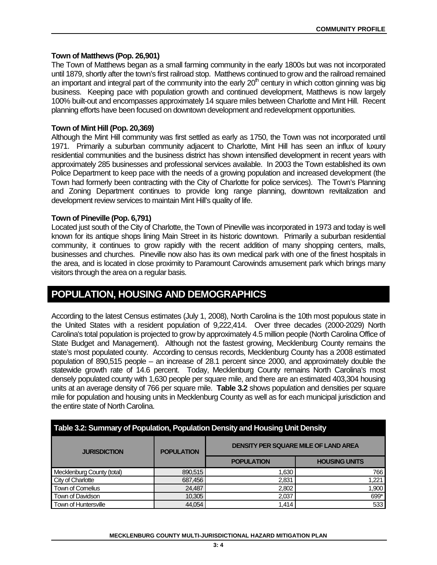#### **Town of Matthews (Pop. 26,901)**

The Town of Matthews began as a small farming community in the early 1800s but was not incorporated until 1879, shortly after the town's first railroad stop. Matthews continued to grow and the railroad remained an important and integral part of the community into the early  $20<sup>th</sup>$  century in which cotton ginning was big business. Keeping pace with population growth and continued development, Matthews is now largely 100% built-out and encompasses approximately 14 square miles between Charlotte and Mint Hill. Recent planning efforts have been focused on downtown development and redevelopment opportunities.

#### **Town of Mint Hill (Pop. 20,369)**

Although the Mint Hill community was first settled as early as 1750, the Town was not incorporated until 1971. Primarily a suburban community adjacent to Charlotte, Mint Hill has seen an influx of luxury residential communities and the business district has shown intensified development in recent years with approximately 285 businesses and professional services available. In 2003 the Town established its own Police Department to keep pace with the needs of a growing population and increased development (the Town had formerly been contracting with the City of Charlotte for police services). The Town's Planning and Zoning Department continues to provide long range planning, downtown revitalization and development review services to maintain Mint Hill's quality of life.

#### **Town of Pineville (Pop. 6,791)**

Located just south of the City of Charlotte, the Town of Pineville was incorporated in 1973 and today is well known for its antique shops lining Main Street in its historic downtown. Primarily a suburban residential community, it continues to grow rapidly with the recent addition of many shopping centers, malls, businesses and churches. Pineville now also has its own medical park with one of the finest hospitals in the area, and is located in close proximity to Paramount Carowinds amusement park which brings many visitors through the area on a regular basis.

### **POPULATION, HOUSING AND DEMOGRAPHICS**

According to the latest Census estimates (July 1, 2008), North Carolina is the 10th most populous state in the United States with a resident population of 9,222,414. Over three decades (2000-2029) North Carolina's total population is projected to grow by approximately 4.5 million people (North Carolina Office of State Budget and Management). Although not the fastest growing, Mecklenburg County remains the state's most populated county. According to census records, Mecklenburg County has a 2008 estimated population of 890,515 people – an increase of 28.1 percent since 2000, and approximately double the statewide growth rate of 14.6 percent. Today, Mecklenburg County remains North Carolina's most densely populated county with 1,630 people per square mile, and there are an estimated 403,304 housing units at an average density of 766 per square mile. **Table 3.2** shows population and densities per square mile for population and housing units in Mecklenburg County as well as for each municipal jurisdiction and the entire state of North Carolina.

| Table 3.2: Summary of Population, Population Density and Housing Unit Density |                   |                                             |                      |  |  |  |
|-------------------------------------------------------------------------------|-------------------|---------------------------------------------|----------------------|--|--|--|
| <b>JURISDICTION</b>                                                           | <b>POPULATION</b> | <b>DENSITY PER SQUARE MILE OF LAND AREA</b> |                      |  |  |  |
|                                                                               |                   | <b>POPULATION</b>                           | <b>HOUSING UNITS</b> |  |  |  |
| Mecklenburg County (total)                                                    | 890,515           | 1,630                                       | 766                  |  |  |  |
| City of Charlotte                                                             | 687,456           | 2,831                                       | 1,221                |  |  |  |
| Town of Comelius                                                              | 24,487            | 2,802                                       | 1,900                |  |  |  |
| Town of Davidson                                                              | 10,305            | 2,037                                       | 699*                 |  |  |  |
| Town of Huntersville                                                          | 44,054            | 1.414                                       | 533                  |  |  |  |

#### **MECKLENBURG COUNTY MULTI-JURISDICTIONAL HAZARD MITIGATION PLAN**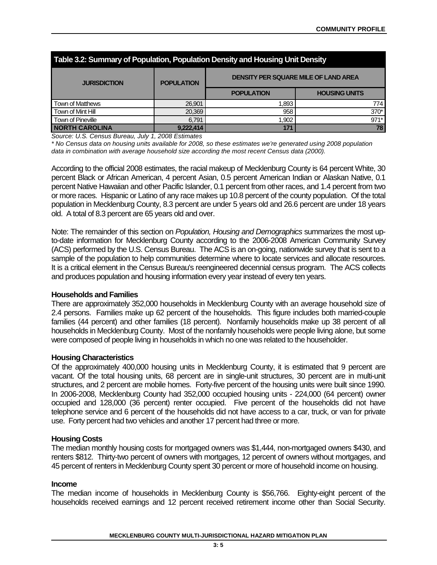| Table 3.2: Summary of Population, Population Density and Housing Unit Density |                   |                                             |                      |  |  |  |
|-------------------------------------------------------------------------------|-------------------|---------------------------------------------|----------------------|--|--|--|
| <b>JURISDICTION</b>                                                           | <b>POPULATION</b> | <b>DENSITY PER SQUARE MILE OF LAND AREA</b> |                      |  |  |  |
|                                                                               |                   | <b>POPULATION</b>                           | <b>HOUSING UNITS</b> |  |  |  |
| <b>Town of Matthews</b>                                                       | 26,901            | 1,893                                       | 774                  |  |  |  |
| Town of Mint Hill                                                             | 20,369            | 958                                         | 370*                 |  |  |  |
| Town of Pineville                                                             | 6.791             | 1,902                                       | 971*                 |  |  |  |
| <b>NORTH CAROLINA</b>                                                         | 9,222,414         | 171                                         | 78                   |  |  |  |

*Source: U.S. Census Bureau, July 1, 2008 Estimates*

*\* No Census data on housing units available for 2008, so these estimates we're generated using 2008 population data in combination with average household size according the most recent Census data (2000).*

According to the official 2008 estimates, the racial makeup of Mecklenburg County is 64 percent White, 30 percent Black or African American, 4 percent Asian, 0.5 percent American Indian or Alaskan Native, 0.1 percent Native Hawaiian and other Pacific Islander, 0.1 percent from other races, and 1.4 percent from two or more races. Hispanic or Latino of any race makes up 10.8 percent of the county population. Of the total population in Mecklenburg County, 8.3 percent are under 5 years old and 26.6 percent are under 18 years old. A total of 8.3 percent are 65 years old and over.

Note: The remainder of this section on *Population, Housing and Demographics* summarizes the most upto-date information for Mecklenburg County according to the 2006-2008 American Community Survey (ACS) performed by the U.S. Census Bureau. The ACS is an on-going, nationwide survey that is sent to a sample of the population to help communities determine where to locate services and allocate resources. It is a critical element in the Census Bureau's reengineered decennial census program. The ACS collects and produces population and housing information every year instead of every ten years.

#### **Households and Families**

There are approximately 352,000 households in Mecklenburg County with an average household size of 2.4 persons. Families make up 62 percent of the households. This figure includes both married-couple families (44 percent) and other families (18 percent). Nonfamily households make up 38 percent of all households in Mecklenburg County. Most of the nonfamily households were people living alone, but some were composed of people living in households in which no one was related to the householder.

#### **Housing Characteristics**

Of the approximately 400,000 housing units in Mecklenburg County, it is estimated that 9 percent are vacant. Of the total housing units, 68 percent are in single-unit structures, 30 percent are in multi-unit structures, and 2 percent are mobile homes. Forty-five percent of the housing units were built since 1990. In 2006-2008, Mecklenburg County had 352,000 occupied housing units - 224,000 (64 percent) owner occupied and 128,000 (36 percent) renter occupied. Five percent of the households did not have telephone service and 6 percent of the households did not have access to a car, truck, or van for private use. Forty percent had two vehicles and another 17 percent had three or more.

#### **Housing Costs**

The median monthly housing costs for mortgaged owners was \$1,444, non-mortgaged owners \$430, and renters \$812. Thirty-two percent of owners with mortgages, 12 percent of owners without mortgages, and 45 percent of renters in Mecklenburg County spent 30 percent or more of household income on housing.

#### **Income**

The median income of households in Mecklenburg County is \$56,766. Eighty-eight percent of the households received earnings and 12 percent received retirement income other than Social Security.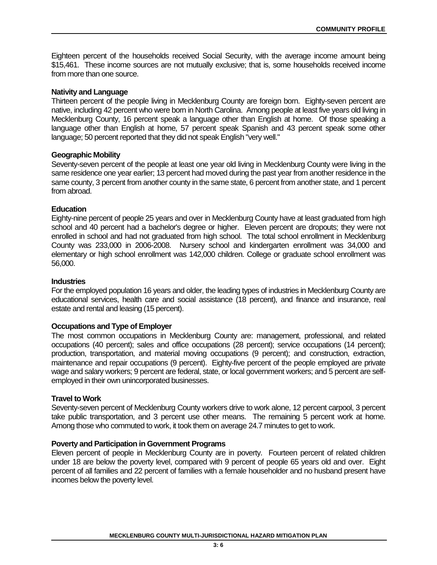Eighteen percent of the households received Social Security, with the average income amount being \$15,461. These income sources are not mutually exclusive; that is, some households received income from more than one source.

#### **Nativity and Language**

Thirteen percent of the people living in Mecklenburg County are foreign born. Eighty-seven percent are native, including 42 percent who were born in North Carolina. Among people at least five years old living in Mecklenburg County, 16 percent speak a language other than English at home. Of those speaking a language other than English at home, 57 percent speak Spanish and 43 percent speak some other language; 50 percent reported that they did not speak English "very well."

#### **Geographic Mobility**

Seventy-seven percent of the people at least one year old living in Mecklenburg County were living in the same residence one year earlier; 13 percent had moved during the past year from another residence in the same county, 3 percent from another county in the same state, 6 percent from another state, and 1 percent from abroad.

#### **Education**

Eighty-nine percent of people 25 years and over in Mecklenburg County have at least graduated from high school and 40 percent had a bachelor's degree or higher. Eleven percent are dropouts; they were not enrolled in school and had not graduated from high school. The total school enrollment in Mecklenburg County was 233,000 in 2006-2008. Nursery school and kindergarten enrollment was 34,000 and elementary or high school enrollment was 142,000 children. College or graduate school enrollment was 56,000.

#### **Industries**

For the employed population 16 years and older, the leading types of industries in Mecklenburg County are educational services, health care and social assistance (18 percent), and finance and insurance, real estate and rental and leasing (15 percent).

#### **Occupations and Type of Employer**

The most common occupations in Mecklenburg County are: management, professional, and related occupations (40 percent); sales and office occupations (28 percent); service occupations (14 percent); production, transportation, and material moving occupations (9 percent); and construction, extraction, maintenance and repair occupations (9 percent). Eighty-five percent of the people employed are private wage and salary workers; 9 percent are federal, state, or local government workers; and 5 percent are selfemployed in their own unincorporated businesses.

#### **Travel to Work**

Seventy-seven percent of Mecklenburg County workers drive to work alone, 12 percent carpool, 3 percent take public transportation, and 3 percent use other means. The remaining 5 percent work at home. Among those who commuted to work, it took them on average 24.7 minutes to get to work.

#### **Poverty and Participation in Government Programs**

Eleven percent of people in Mecklenburg County are in poverty. Fourteen percent of related children under 18 are below the poverty level, compared with 9 percent of people 65 years old and over. Eight percent of all families and 22 percent of families with a female householder and no husband present have incomes below the poverty level.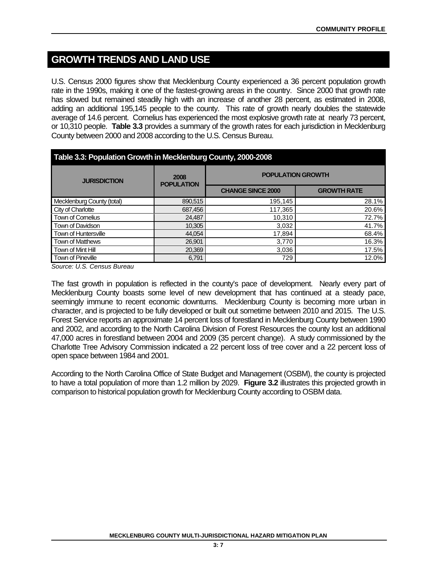## **GROWTH TRENDS AND LAND USE**

U.S. Census 2000 figures show that Mecklenburg County experienced a 36 percent population growth rate in the 1990s, making it one of the fastest-growing areas in the country. Since 2000 that growth rate has slowed but remained steadily high with an increase of another 28 percent, as estimated in 2008, adding an additional 195,145 people to the county. This rate of growth nearly doubles the statewide average of 14.6 percent. Cornelius has experienced the most explosive growth rate at nearly 73 percent, or 10,310 people. **Table 3.3** provides a summary of the growth rates for each jurisdiction in Mecklenburg County between 2000 and 2008 according to the U.S. Census Bureau.

| Table 3.3: Population Growth in Mecklenburg County, 2000-2008 |                           |                          |                    |  |  |  |
|---------------------------------------------------------------|---------------------------|--------------------------|--------------------|--|--|--|
| <b>JURISDICTION</b>                                           | 2008<br><b>POPULATION</b> | <b>POPULATION GROWTH</b> |                    |  |  |  |
|                                                               |                           | <b>CHANGE SINCE 2000</b> | <b>GROWTH RATE</b> |  |  |  |
| Mecklenburg County (total)                                    | 890,515                   | 195,145                  | 28.1%              |  |  |  |
| City of Charlotte                                             | 687,456                   | 117,365                  | 20.6%              |  |  |  |
| Town of Cornelius                                             | 24,487                    | 10,310                   | 72.7%              |  |  |  |
| Town of Davidson                                              | 10,305                    | 3,032                    | 41.7%              |  |  |  |
| <b>Town of Huntersville</b>                                   | 44,054                    | 17,894                   | 68.4%              |  |  |  |
| <b>Town of Matthews</b>                                       | 26,901                    | 3,770                    | 16.3%              |  |  |  |
| Town of Mint Hill                                             | 20,369                    | 3,036                    | 17.5%              |  |  |  |
| Town of Pineville                                             | 6.791                     | 729                      | 12.0%              |  |  |  |

*Source: U.S. Census Bureau*

The fast growth in population is reflected in the county's pace of development. Nearly every part of Mecklenburg County boasts some level of new development that has continued at a steady pace, seemingly immune to recent economic downturns. Mecklenburg County is becoming more urban in character, and is projected to be fully developed or built out sometime between 2010 and 2015. The U.S. Forest Service reports an approximate 14 percent loss of forestland in Mecklenburg County between 1990 and 2002, and according to the North Carolina Division of Forest Resources the county lost an additional 47,000 acres in forestland between 2004 and 2009 (35 percent change). A study commissioned by the Charlotte Tree Advisory Commission indicated a 22 percent loss of tree cover and a 22 percent loss of open space between 1984 and 2001.

According to the North Carolina Office of State Budget and Management (OSBM), the county is projected to have a total population of more than 1.2 million by 2029. **Figure 3.2** illustrates this projected growth in comparison to historical population growth for Mecklenburg County according to OSBM data.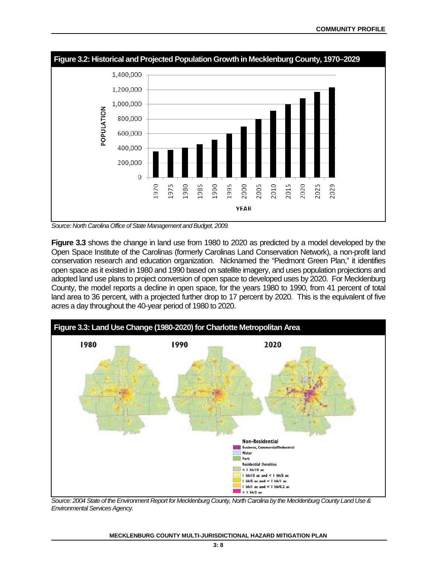

*Source: North Carolina Office of State Management and Budget, 2009.*

**Figure 3.3** shows the change in land use from 1980 to 2020 as predicted by a model developed by the Open Space Institute of the Carolinas (formerly Carolinas Land Conservation Network), a non-profit land conservation research and education organization. Nicknamed the "Piedmont Green Plan," it identifies open space as it existed in 1980 and 1990 based on satellite imagery, and uses population projections and adopted land use plans to project conversion of open space to developed uses by 2020. For Mecklenburg County, the model reports a decline in open space, for the years 1980 to 1990, from 41 percent of total land area to 36 percent, with a projected further drop to 17 percent by 2020. This is the equivalent of five acres a day throughout the 40-year period of 1980 to 2020.



*Source: 2004 State of the Environment Report for Mecklenburg County, North Carolina by the Mecklenburg County Land Use & Environmental Services Agency.*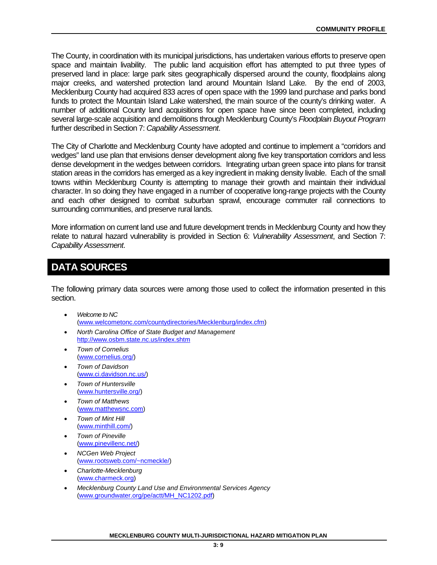The County, in coordination with its municipal jurisdictions, has undertaken various efforts to preserve open space and maintain livability. The public land acquisition effort has attempted to put three types of preserved land in place: large park sites geographically dispersed around the county, floodplains along major creeks, and watershed protection land around Mountain Island Lake. By the end of 2003, Mecklenburg County had acquired 833 acres of open space with the 1999 land purchase and parks bond funds to protect the Mountain Island Lake watershed, the main source of the county's drinking water. A number of additional County land acquisitions for open space have since been completed, including several large-scale acquisition and demolitions through Mecklenburg County's *Floodplain Buyout Program* further described in Section 7: *Capability Assessment*.

The City of Charlotte and Mecklenburg County have adopted and continue to implement a "corridors and wedges" land use plan that envisions denser development along five key transportation corridors and less dense development in the wedges between corridors. Integrating urban green space into plans for transit station areas in the corridors has emerged as a key ingredient in making density livable. Each of the small towns within Mecklenburg County is attempting to manage their growth and maintain their individual character. In so doing they have engaged in a number of cooperative long-range projects with the County and each other designed to combat suburban sprawl, encourage commuter rail connections to surrounding communities, and preserve rural lands.

More information on current land use and future development trends in Mecklenburg County and how they relate to natural hazard vulnerability is provided in Section 6: *Vulnerability Assessment*, and Section 7: *Capability Assessment*.

# **DATA SOURCES**

The following primary data sources were among those used to collect the information presented in this section.

- *Welcome to NC* [\(www.welcometonc.com/countydirectories/Mecklenburg/index.cfm\)](http://www.welcometonc.com/countydirectories/Mecklenburg/index.cfm)
- *North Carolina Office of State Budget and Management* <http://www.osbm.state.nc.us/index.shtm>
- *Town of Cornelius* [\(www.cornelius.org/\)](http://www.cornelius.org/)
- *Town of Davidson* [\(www.ci.davidson.nc.us/\)](http://www.ci.davidson.nc.us/)
- *Town of Huntersville* [\(www.huntersville.org/\)](http://www.huntersville.org/)
- *Town of Matthews* [\(www.matthewsnc.com\)](http://www.matthewsnc.com/)
- *Town of Mint Hill* [\(www.minthill.com/\)](http://www.minthill.com/)
- *Town of Pineville* [\(www.pinevillenc.net/\)](http://www.pinevillenc.net/)
- *NCGen Web Project* [\(www.rootsweb.com/~ncmeckle/\)](http://www.rootsweb.com/~ncmeckle/)
- *Charlotte-Mecklenburg* [\(www.charmeck.org\)](http://www.charmeck.org/)
- *Mecklenburg County Land Use and Environmental Services Agency* [\(www.groundwater.org/pe/actt/MH\\_NC1202.pdf\)](http://www.groundwater.org/pe/actt/MH_NC1202.pdf)